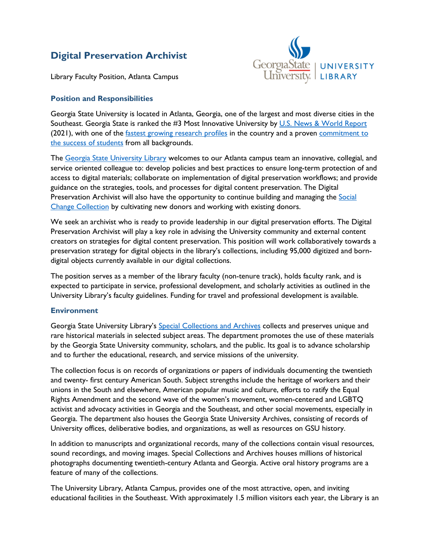# **Digital Preservation Archivist**



Library Faculty Position, Atlanta Campus

## **Position and Responsibilities**

Georgia State University is located in Atlanta, Georgia, one of the largest and most diverse cities in the Southeast. Georgia State is ranked the #3 Most Innovative University by U.S. [News & World Report](https://www.usnews.com/best-colleges/rankings/national-universities/innovative) (2021), with one of the [fastest growing research profiles](https://research.gsu.edu/) in the country and a proven commitment to [the success of students](https://success.gsu.edu/) from all backgrounds.

The [Georgia State University Library](https://library.gsu.edu/) welcomes to our Atlanta campus team an innovative, collegial, and service oriented colleague to: develop policies and best practices to ensure long-term protection of and access to digital materials; collaborate on implementation of digital preservation workflows; and provide guidance on the strategies, tools, and processes for digital content preservation. The Digital Preservation Archivist will also have the opportunity to continue building and managing the Social [Change Collection](https://research.library.gsu.edu/SocialChangeOverview) by cultivating new donors and working with existing donors.

We seek an archivist who is ready to provide leadership in our digital preservation efforts. The Digital Preservation Archivist will play a key role in advising the University community and external content creators on strategies for digital content preservation. This position will work collaboratively towards a preservation strategy for digital objects in the library's collections, including 95,000 digitized and borndigital objects currently available in our digital collections.

The position serves as a member of the library faculty (non-tenure track), holds faculty rank, and is expected to participate in service, professional development, and scholarly activities as outlined in the University Library's faculty guidelines. Funding for travel and professional development is available.

#### **Environment**

Georgia State University Library's [Special Collections and Archives](https://library.gsu.edu/special-collections/) collects and preserves unique and rare historical materials in selected subject areas. The department promotes the use of these materials by the Georgia State University community, scholars, and the public. Its goal is to advance scholarship and to further the educational, research, and service missions of the university.

The collection focus is on records of organizations or papers of individuals documenting the twentieth and twenty- first century American South. Subject strengths include the heritage of workers and their unions in the South and elsewhere, American popular music and culture, efforts to ratify the Equal Rights Amendment and the second wave of the women's movement, women-centered and LGBTQ activist and advocacy activities in Georgia and the Southeast, and other social movements, especially in Georgia. The department also houses the Georgia State University Archives, consisting of records of University offices, deliberative bodies, and organizations, as well as resources on GSU history.

In addition to manuscripts and organizational records, many of the collections contain visual resources, sound recordings, and moving images. Special Collections and Archives houses millions of historical photographs documenting twentieth-century Atlanta and Georgia. Active oral history programs are a feature of many of the collections.

The University Library, Atlanta Campus, provides one of the most attractive, open, and inviting educational facilities in the Southeast. With approximately 1.5 million visitors each year, the Library is an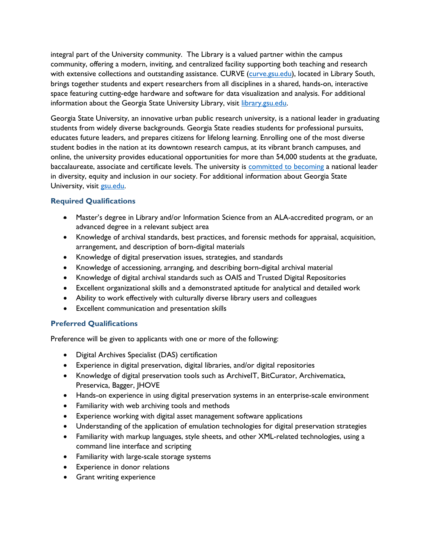integral part of the University community. The Library is a valued partner within the campus community, offering a modern, inviting, and centralized facility supporting both teaching and research with extensive collections and outstanding assistance. CURVE [\(curve.gsu.edu\)](http://curve.gsu.edu/), located in Library South, brings together students and expert researchers from all disciplines in a shared, hands-on, interactive space featuring cutting-edge hardware and software for data visualization and analysis. For additional information about the Georgia State University Library, visit [library.gsu.edu.](https://library.gsu.edu/)

Georgia State University, an innovative urban public research university, is a national leader in graduating students from widely diverse backgrounds. Georgia State readies students for professional pursuits, educates future leaders, and prepares citizens for lifelong learning. Enrolling one of the most diverse student bodies in the nation at its downtown research campus, at its vibrant branch campuses, and online, the university provides educational opportunities for more than 54,000 students at the graduate, baccalaureate, associate and certificate levels. The university is [committed to becoming](https://dei.gsu.edu/) a national leader in diversity, equity and inclusion in our society. For additional information about Georgia State University, visit [gsu.edu.](http://www.gsu.edu/)

# **Required Qualifications**

- Master's degree in Library and/or Information Science from an ALA-accredited program, or an advanced degree in a relevant subject area
- Knowledge of archival standards, best practices, and forensic methods for appraisal, acquisition, arrangement, and description of born-digital materials
- Knowledge of digital preservation issues, strategies, and standards
- Knowledge of accessioning, arranging, and describing born-digital archival material
- Knowledge of digital archival standards such as OAIS and Trusted Digital Repositories
- Excellent organizational skills and a demonstrated aptitude for analytical and detailed work
- Ability to work effectively with culturally diverse library users and colleagues
- Excellent communication and presentation skills

#### **Preferred Qualifications**

Preference will be given to applicants with one or more of the following:

- Digital Archives Specialist (DAS) certification
- Experience in digital preservation, digital libraries, and/or digital repositories
- Knowledge of digital preservation tools such as ArchiveIT, BitCurator, Archivematica, Preservica, Bagger, JHOVE
- Hands-on experience in using digital preservation systems in an enterprise-scale environment
- Familiarity with web archiving tools and methods
- Experience working with digital asset management software applications
- Understanding of the application of emulation technologies for digital preservation strategies
- Familiarity with markup languages, style sheets, and other XML-related technologies, using a command line interface and scripting
- Familiarity with large-scale storage systems
- Experience in donor relations
- Grant writing experience